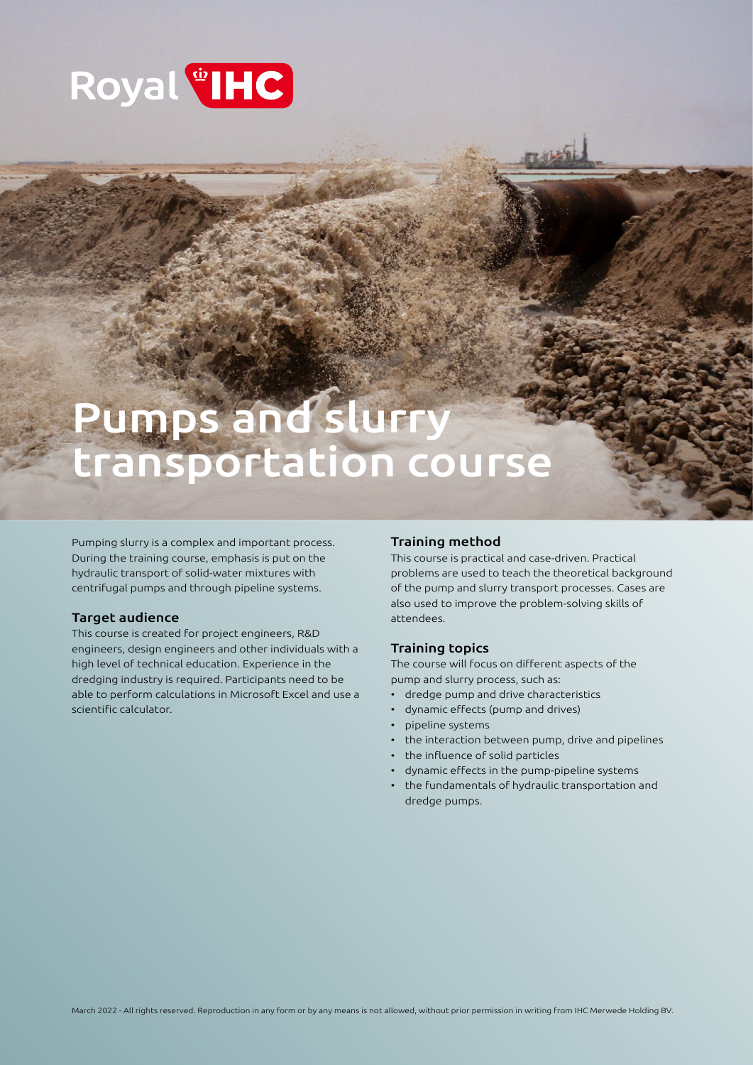

# Pumps and slurry transportation course

Pumping slurry is a complex and important process. During the training course, emphasis is put on the hydraulic transport of solid-water mixtures with centrifugal pumps and through pipeline systems.

# Target audience

This course is created for project engineers, R&D engineers, design engineers and other individuals with a high level of technical education. Experience in the dredging industry is required. Participants need to be able to perform calculations in Microsoft Excel and use a scientific calculator.

# Training method

This course is practical and case-driven. Practical problems are used to teach the theoretical background of the pump and slurry transport processes. Cases are also used to improve the problem-solving skills of attendees.

# Training topics

The course will focus on different aspects of the pump and slurry process, such as:

- dredge pump and drive characteristics
- dynamic effects (pump and drives)
- pipeline systems
- the interaction between pump, drive and pipelines
- the influence of solid particles
- dynamic effects in the pump-pipeline systems
- the fundamentals of hydraulic transportation and dredge pumps.